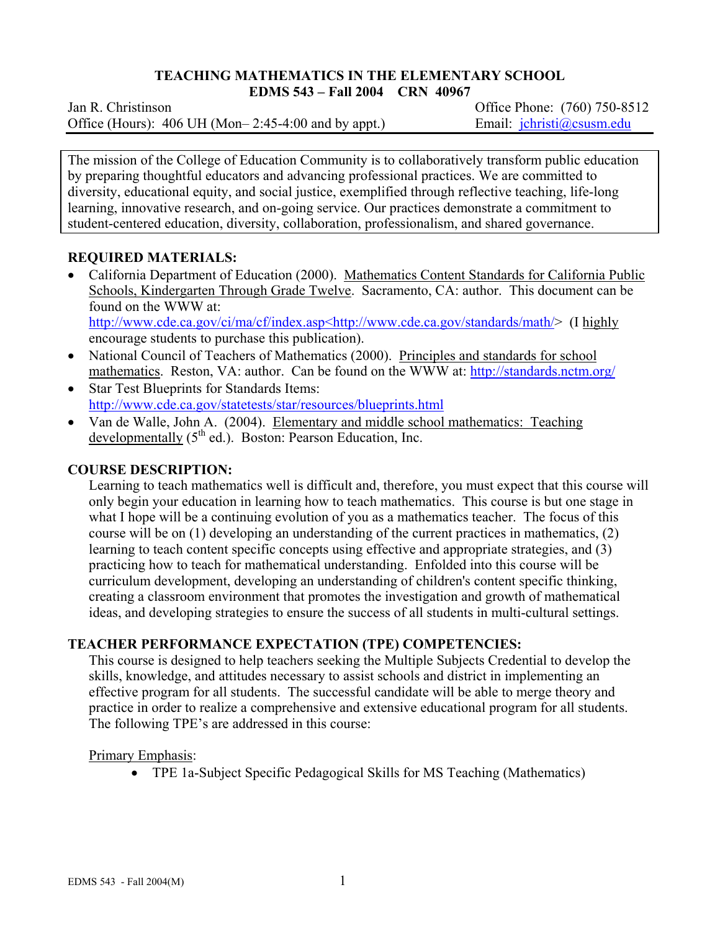# **TEACHING MATHEMATICS IN THE ELEMENTARY SCHOOL**

**EDMS 543 – Fall 2004 CRN 40967** 

Jan R. ChristinsonOffice Phone: (760) 750-8512 Office (Hours): 406 UH (Mon–2:45-4:00 and by appt.) Email: jchristi@csusm.edu

The mission of the College of Education Community is to collaboratively transform public education by preparing thoughtful educators and advancing professional practices. We are committed to diversity, educational equity, and social justice, exemplified through reflective teaching, life-long learning, innovative research, and on-going service. Our practices demonstrate a commitment to student-centered education, diversity, collaboration, professionalism, and shared governance.

## **REQUIRED MATERIALS:**

- California Department of Education (2000). Mathematics Content Standards for California Public Schools, Kindergarten Through Grade Twelve. Sacramento, CA: author. This document can be found on the WWW at: http://www.cde.ca.gov/ci/ma/cf/index.asp<http://www.cde.ca.gov/standards/math/> (I highly encourage students to purchase this publication).
- National Council of Teachers of Mathematics (2000). Principles and standards for school mathematics. Reston, VA: author. Can be found on the WWW at: http://standards.nctm.org/
- Star Test Blueprints for Standards Items: http://www.cde.ca.gov/statetests/star/resources/blueprints.html
- Van de Walle, John A. (2004). Elementary and middle school mathematics: Teaching developmentally  $(5<sup>th</sup>$  ed.). Boston: Pearson Education, Inc.

## **COURSE DESCRIPTION:**

Learning to teach mathematics well is difficult and, therefore, you must expect that this course will only begin your education in learning how to teach mathematics. This course is but one stage in what I hope will be a continuing evolution of you as a mathematics teacher. The focus of this course will be on (1) developing an understanding of the current practices in mathematics, (2) learning to teach content specific concepts using effective and appropriate strategies, and (3) practicing how to teach for mathematical understanding. Enfolded into this course will be curriculum development, developing an understanding of children's content specific thinking, creating a classroom environment that promotes the investigation and growth of mathematical ideas, and developing strategies to ensure the success of all students in multi-cultural settings.

## **TEACHER PERFORMANCE EXPECTATION (TPE) COMPETENCIES:**

This course is designed to help teachers seeking the Multiple Subjects Credential to develop the skills, knowledge, and attitudes necessary to assist schools and district in implementing an effective program for all students. The successful candidate will be able to merge theory and practice in order to realize a comprehensive and extensive educational program for all students. The following TPE's are addressed in this course:

#### Primary Emphasis:

• TPE 1a-Subject Specific Pedagogical Skills for MS Teaching (Mathematics)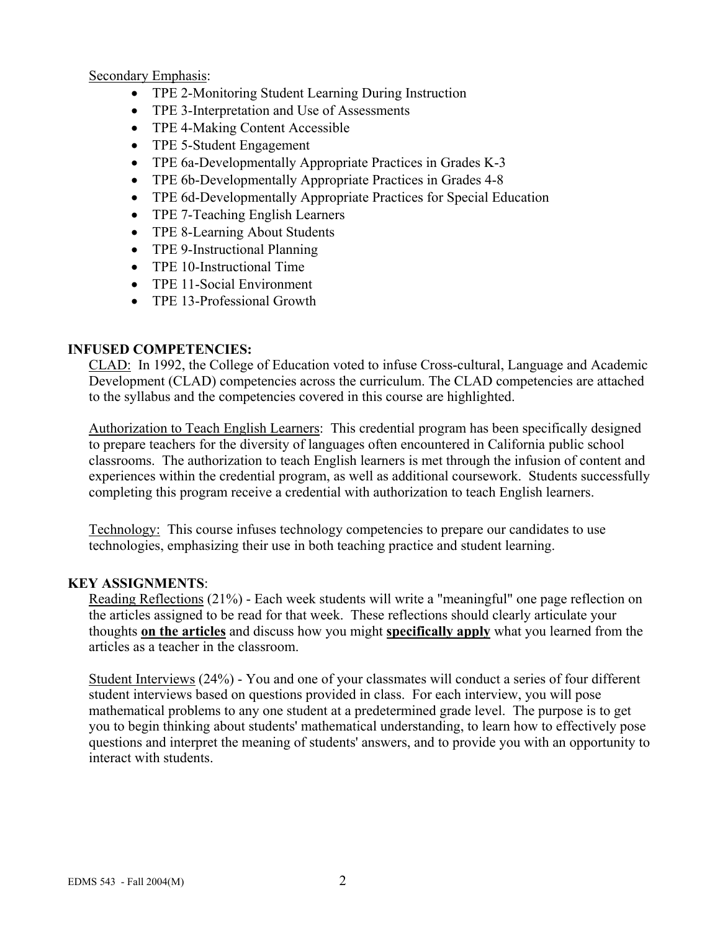Secondary Emphasis:

- TPE 2-Monitoring Student Learning During Instruction
- TPE 3-Interpretation and Use of Assessments
- TPE 4-Making Content Accessible
- TPE 5-Student Engagement
- TPE 6a-Developmentally Appropriate Practices in Grades K-3
- TPE 6b-Developmentally Appropriate Practices in Grades 4-8
- TPE 6d-Developmentally Appropriate Practices for Special Education
- TPE 7-Teaching English Learners
- TPE 8-Learning About Students
- TPE 9-Instructional Planning
- TPE 10-Instructional Time
- TPE 11-Social Environment
- TPE 13-Professional Growth

## **INFUSED COMPETENCIES:**

CLAD: In 1992, the College of Education voted to infuse Cross-cultural, Language and Academic Development (CLAD) competencies across the curriculum. The CLAD competencies are attached to the syllabus and the competencies covered in this course are highlighted.

Authorization to Teach English Learners: This credential program has been specifically designed to prepare teachers for the diversity of languages often encountered in California public school classrooms. The authorization to teach English learners is met through the infusion of content and experiences within the credential program, as well as additional coursework. Students successfully completing this program receive a credential with authorization to teach English learners.

Technology: This course infuses technology competencies to prepare our candidates to use technologies, emphasizing their use in both teaching practice and student learning.

## **KEY ASSIGNMENTS**:

Reading Reflections (21%) - Each week students will write a "meaningful" one page reflection on the articles assigned to be read for that week. These reflections should clearly articulate your thoughts **on the articles** and discuss how you might **specifically apply** what you learned from the articles as a teacher in the classroom.

Student Interviews (24%) - You and one of your classmates will conduct a series of four different student interviews based on questions provided in class. For each interview, you will pose mathematical problems to any one student at a predetermined grade level. The purpose is to get you to begin thinking about students' mathematical understanding, to learn how to effectively pose questions and interpret the meaning of students' answers, and to provide you with an opportunity to interact with students.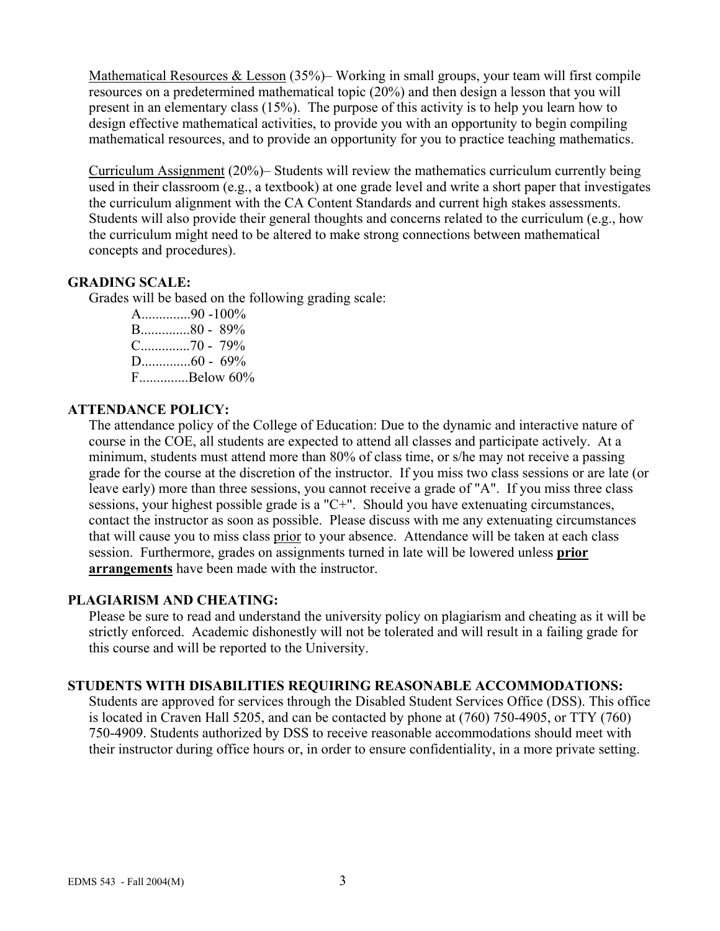Mathematical Resources & Lesson (35%)– Working in small groups, your team will first compile resources on a predetermined mathematical topic (20%) and then design a lesson that you will present in an elementary class (15%). The purpose of this activity is to help you learn how to design effective mathematical activities, to provide you with an opportunity to begin compiling mathematical resources, and to provide an opportunity for you to practice teaching mathematics.

Curriculum Assignment (20%)– Students will review the mathematics curriculum currently being used in their classroom (e.g., a textbook) at one grade level and write a short paper that investigates the curriculum alignment with the CA Content Standards and current high stakes assessments. Students will also provide their general thoughts and concerns related to the curriculum (e.g., how the curriculum might need to be altered to make strong connections between mathematical concepts and procedures).

#### **GRADING SCALE:**

Grades will be based on the following grading scale:

A..............90 -100% B..............80 - 89% C..............70 - 79% D..............60 - 69% F..............Below 60%

## **ATTENDANCE POLICY:**

The attendance policy of the College of Education: Due to the dynamic and interactive nature of course in the COE, all students are expected to attend all classes and participate actively. At a minimum, students must attend more than 80% of class time, or s/he may not receive a passing grade for the course at the discretion of the instructor. If you miss two class sessions or are late (or leave early) more than three sessions, you cannot receive a grade of "A". If you miss three class sessions, your highest possible grade is a "C+". Should you have extenuating circumstances, contact the instructor as soon as possible. Please discuss with me any extenuating circumstances that will cause you to miss class prior to your absence. Attendance will be taken at each class session. Furthermore, grades on assignments turned in late will be lowered unless **prior arrangements** have been made with the instructor.

#### **PLAGIARISM AND CHEATING:**

Please be sure to read and understand the university policy on plagiarism and cheating as it will be strictly enforced. Academic dishonestly will not be tolerated and will result in a failing grade for this course and will be reported to the University.

#### **STUDENTS WITH DISABILITIES REQUIRING REASONABLE ACCOMMODATIONS:**

Students are approved for services through the Disabled Student Services Office (DSS). This office is located in Craven Hall 5205, and can be contacted by phone at (760) 750-4905, or TTY (760) 750-4909. Students authorized by DSS to receive reasonable accommodations should meet with their instructor during office hours or, in order to ensure confidentiality, in a more private setting.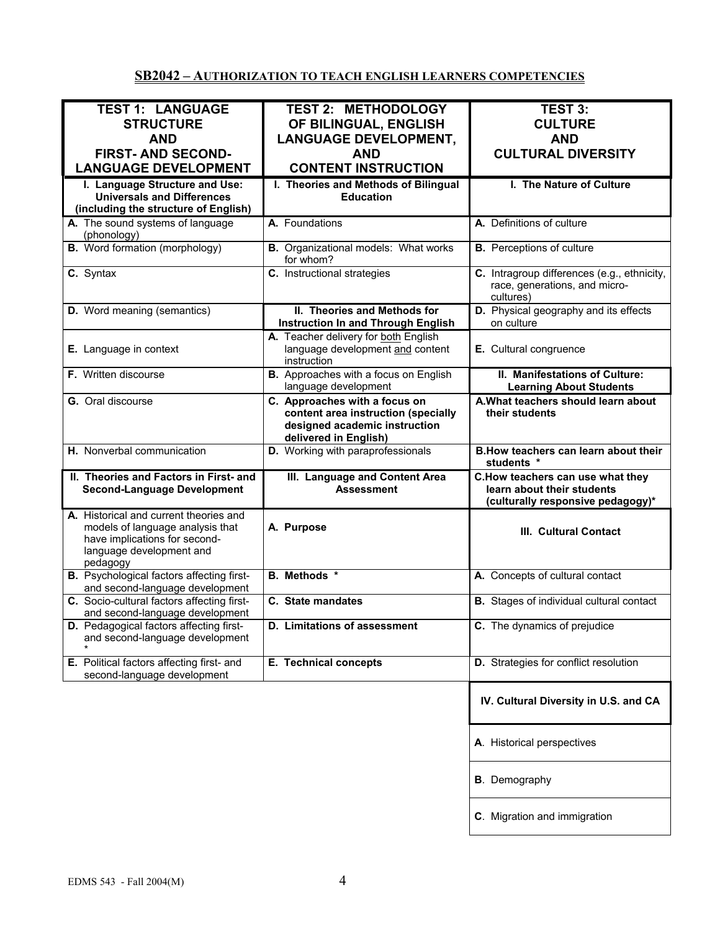## **SB2042 – AUTHORIZATION TO TEACH ENGLISH LEARNERS COMPETENCIES**

| <b>TEST 1: LANGUAGE</b>                                                                                                                             | <b>TEST 2: METHODOLOGY</b>                                                                                                     | <b>TEST 3:</b>                                                                                      |
|-----------------------------------------------------------------------------------------------------------------------------------------------------|--------------------------------------------------------------------------------------------------------------------------------|-----------------------------------------------------------------------------------------------------|
| <b>STRUCTURE</b>                                                                                                                                    |                                                                                                                                | <b>CULTURE</b>                                                                                      |
|                                                                                                                                                     | OF BILINGUAL, ENGLISH                                                                                                          |                                                                                                     |
| <b>AND</b>                                                                                                                                          | <b>LANGUAGE DEVELOPMENT,</b>                                                                                                   | <b>AND</b>                                                                                          |
| <b>FIRST- AND SECOND-</b>                                                                                                                           | <b>AND</b>                                                                                                                     | <b>CULTURAL DIVERSITY</b>                                                                           |
| <b>LANGUAGE DEVELOPMENT</b>                                                                                                                         | <b>CONTENT INSTRUCTION</b>                                                                                                     |                                                                                                     |
| I. Language Structure and Use:                                                                                                                      | I. Theories and Methods of Bilingual                                                                                           | I. The Nature of Culture                                                                            |
| <b>Universals and Differences</b>                                                                                                                   | <b>Education</b>                                                                                                               |                                                                                                     |
| (including the structure of English)                                                                                                                |                                                                                                                                |                                                                                                     |
| A. The sound systems of language                                                                                                                    | A. Foundations                                                                                                                 | A. Definitions of culture                                                                           |
| (phonology)                                                                                                                                         |                                                                                                                                |                                                                                                     |
| <b>B.</b> Word formation (morphology)                                                                                                               | <b>B.</b> Organizational models: What works<br>for whom?                                                                       | <b>B.</b> Perceptions of culture                                                                    |
| C. Syntax                                                                                                                                           | C. Instructional strategies                                                                                                    | C. Intragroup differences (e.g., ethnicity,<br>race, generations, and micro-<br>cultures)           |
| <b>D.</b> Word meaning (semantics)                                                                                                                  | II. Theories and Methods for<br><b>Instruction In and Through English</b>                                                      | D. Physical geography and its effects<br>on culture                                                 |
| E. Language in context                                                                                                                              | A. Teacher delivery for both English<br>language development and content<br>instruction                                        | E. Cultural congruence                                                                              |
| F. Written discourse                                                                                                                                | B. Approaches with a focus on English<br>language development                                                                  | II. Manifestations of Culture:<br><b>Learning About Students</b>                                    |
| G. Oral discourse                                                                                                                                   | C. Approaches with a focus on<br>content area instruction (specially<br>designed academic instruction<br>delivered in English) | A. What teachers should learn about<br>their students                                               |
| H. Nonverbal communication                                                                                                                          | D. Working with paraprofessionals                                                                                              | B. How teachers can learn about their<br>students *                                                 |
| II. Theories and Factors in First- and<br><b>Second-Language Development</b>                                                                        | III. Language and Content Area<br><b>Assessment</b>                                                                            | C.How teachers can use what they<br>learn about their students<br>(culturally responsive pedagogy)* |
| A. Historical and current theories and<br>models of language analysis that<br>have implications for second-<br>language development and<br>pedagogy | A. Purpose                                                                                                                     | III. Cultural Contact                                                                               |
| <b>B.</b> Psychological factors affecting first-<br>and second-language development                                                                 | <b>B.</b> Methods *                                                                                                            | A. Concepts of cultural contact                                                                     |
| C. Socio-cultural factors affecting first-<br>and second-language development                                                                       | C. State mandates                                                                                                              | <b>B.</b> Stages of individual cultural contact                                                     |
| D. Pedagogical factors affecting first-<br>and second-language development                                                                          | <b>D.</b> Limitations of assessment                                                                                            | C. The dynamics of prejudice                                                                        |
| E. Political factors affecting first- and<br>second-language development                                                                            | E. Technical concepts                                                                                                          | D. Strategies for conflict resolution                                                               |
|                                                                                                                                                     |                                                                                                                                | IV. Cultural Diversity in U.S. and CA                                                               |
|                                                                                                                                                     |                                                                                                                                | A. Historical perspectives                                                                          |
|                                                                                                                                                     |                                                                                                                                | <b>B</b> . Demography                                                                               |
|                                                                                                                                                     |                                                                                                                                | C. Migration and immigration                                                                        |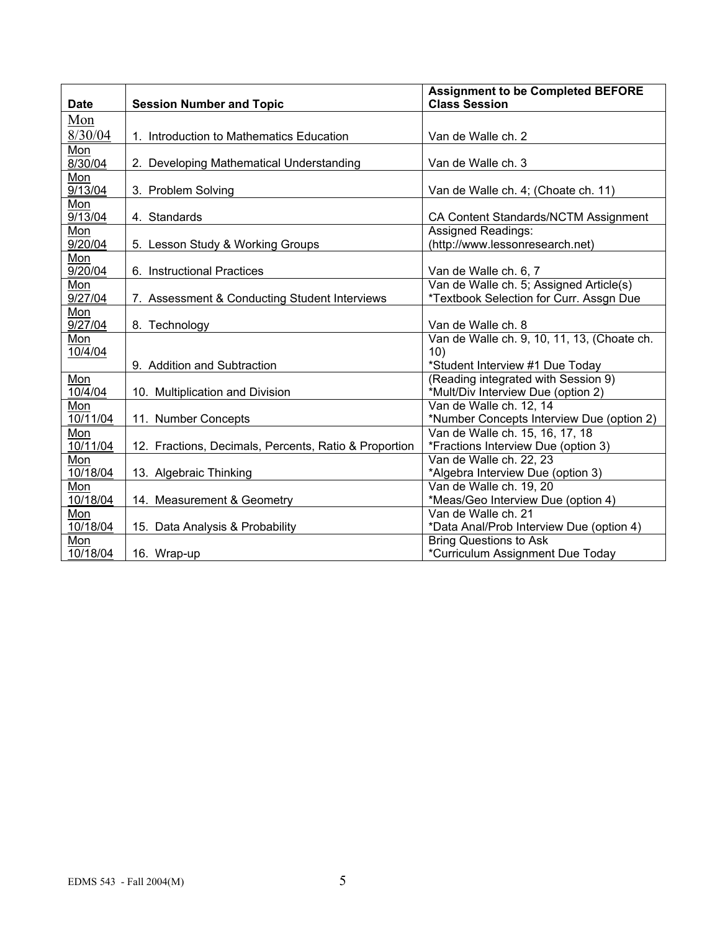| <b>Date</b>          | <b>Session Number and Topic</b>                       | <b>Assignment to be Completed BEFORE</b><br><b>Class Session</b> |
|----------------------|-------------------------------------------------------|------------------------------------------------------------------|
| Mon                  |                                                       |                                                                  |
| 8/30/04              | 1. Introduction to Mathematics Education              | Van de Walle ch. 2                                               |
| Mon                  |                                                       |                                                                  |
| 8/30/04              | 2. Developing Mathematical Understanding              | Van de Walle ch. 3                                               |
| Mon                  |                                                       |                                                                  |
| 9/13/04              | 3. Problem Solving                                    | Van de Walle ch. 4; (Choate ch. 11)                              |
| Mon                  |                                                       |                                                                  |
| 9/13/04              | 4. Standards                                          | CA Content Standards/NCTM Assignment                             |
| Mon                  |                                                       | Assigned Readings:                                               |
| 9/20/04              | 5. Lesson Study & Working Groups                      | (http://www.lessonresearch.net)                                  |
| Mon                  |                                                       |                                                                  |
| 9/20/04              | 6. Instructional Practices                            | Van de Walle ch. 6, 7                                            |
| Mon                  |                                                       | Van de Walle ch. 5; Assigned Article(s)                          |
| $\overline{9}/27/04$ | 7. Assessment & Conducting Student Interviews         | *Textbook Selection for Curr. Assgn Due                          |
| Mon                  |                                                       |                                                                  |
| 9/27/04              | 8. Technology                                         | Van de Walle ch. 8                                               |
| Mon                  |                                                       | Van de Walle ch. 9, 10, 11, 13, (Choate ch.                      |
| 10/4/04              |                                                       | 10)                                                              |
|                      | 9. Addition and Subtraction                           | *Student Interview #1 Due Today                                  |
| Mon                  |                                                       | (Reading integrated with Session 9)                              |
| 10/4/04              | 10. Multiplication and Division                       | *Mult/Div Interview Due (option 2)                               |
| Mon                  |                                                       | Van de Walle ch. 12, 14                                          |
| 10/11/04             | 11. Number Concepts                                   | *Number Concepts Interview Due (option 2)                        |
| Mon                  |                                                       | Van de Walle ch. 15, 16, 17, 18                                  |
| 10/11/04             | 12. Fractions, Decimals, Percents, Ratio & Proportion | *Fractions Interview Due (option 3)                              |
| Mon                  |                                                       | Van de Walle ch. 22, 23                                          |
| 10/18/04             | 13. Algebraic Thinking                                | *Algebra Interview Due (option 3)                                |
| Mon                  |                                                       | Van de Walle ch. 19, 20                                          |
| 10/18/04             | 14. Measurement & Geometry                            | *Meas/Geo Interview Due (option 4)                               |
| Mon                  |                                                       | Van de Walle ch. 21                                              |
| 10/18/04             | 15. Data Analysis & Probability                       | *Data Anal/Prob Interview Due (option 4)                         |
| Mon                  |                                                       | <b>Bring Questions to Ask</b>                                    |
| 10/18/04             | 16. Wrap-up                                           | *Curriculum Assignment Due Today                                 |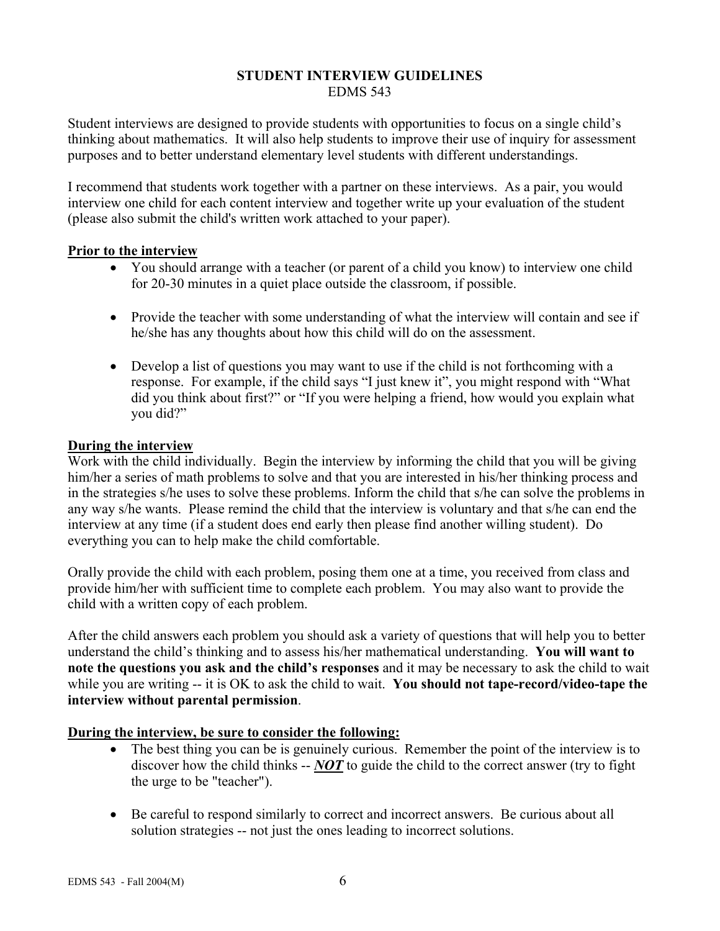#### **STUDENT INTERVIEW GUIDELINES**  EDMS 543

Student interviews are designed to provide students with opportunities to focus on a single child's thinking about mathematics. It will also help students to improve their use of inquiry for assessment purposes and to better understand elementary level students with different understandings.

I recommend that students work together with a partner on these interviews. As a pair, you would interview one child for each content interview and together write up your evaluation of the student (please also submit the child's written work attached to your paper).

## **Prior to the interview**

- You should arrange with a teacher (or parent of a child you know) to interview one child for 20-30 minutes in a quiet place outside the classroom, if possible.
- Provide the teacher with some understanding of what the interview will contain and see if he/she has any thoughts about how this child will do on the assessment.
- Develop a list of questions you may want to use if the child is not forthcoming with a response. For example, if the child says "I just knew it", you might respond with "What did you think about first?" or "If you were helping a friend, how would you explain what you did?"

## **During the interview**

Work with the child individually. Begin the interview by informing the child that you will be giving him/her a series of math problems to solve and that you are interested in his/her thinking process and in the strategies s/he uses to solve these problems. Inform the child that s/he can solve the problems in any way s/he wants. Please remind the child that the interview is voluntary and that s/he can end the interview at any time (if a student does end early then please find another willing student). Do everything you can to help make the child comfortable.

Orally provide the child with each problem, posing them one at a time, you received from class and provide him/her with sufficient time to complete each problem. You may also want to provide the child with a written copy of each problem.

After the child answers each problem you should ask a variety of questions that will help you to better understand the child's thinking and to assess his/her mathematical understanding. **You will want to note the questions you ask and the child's responses** and it may be necessary to ask the child to wait while you are writing -- it is OK to ask the child to wait. **You should not tape-record/video-tape the interview without parental permission**.

## **During the interview, be sure to consider the following:**

- The best thing you can be is genuinely curious. Remember the point of the interview is to discover how the child thinks -- *NOT* to guide the child to the correct answer (try to fight the urge to be "teacher").
- Be careful to respond similarly to correct and incorrect answers. Be curious about all solution strategies -- not just the ones leading to incorrect solutions.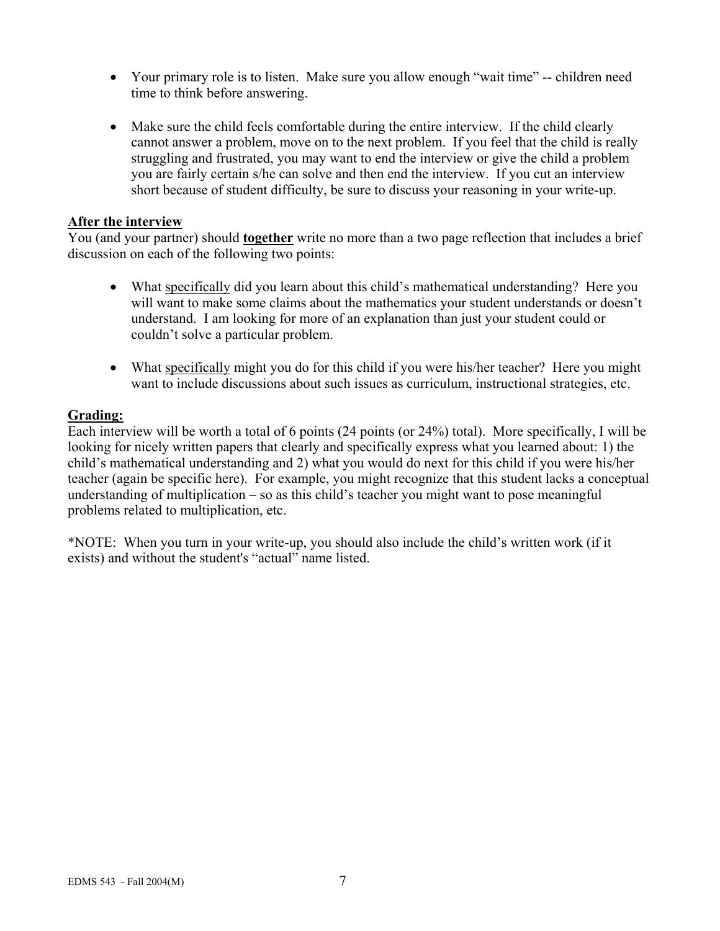- Your primary role is to listen. Make sure you allow enough "wait time" -- children need time to think before answering.
- Make sure the child feels comfortable during the entire interview. If the child clearly cannot answer a problem, move on to the next problem. If you feel that the child is really struggling and frustrated, you may want to end the interview or give the child a problem you are fairly certain s/he can solve and then end the interview. If you cut an interview short because of student difficulty, be sure to discuss your reasoning in your write-up.

#### **After the interview**

You (and your partner) should **together** write no more than a two page reflection that includes a brief discussion on each of the following two points:

- What specifically did you learn about this child's mathematical understanding? Here you will want to make some claims about the mathematics your student understands or doesn't understand. I am looking for more of an explanation than just your student could or couldn't solve a particular problem.
- What specifically might you do for this child if you were his/her teacher? Here you might want to include discussions about such issues as curriculum, instructional strategies, etc.

#### **Grading:**

Each interview will be worth a total of 6 points (24 points (or 24%) total). More specifically, I will be looking for nicely written papers that clearly and specifically express what you learned about: 1) the child's mathematical understanding and 2) what you would do next for this child if you were his/her teacher (again be specific here). For example, you might recognize that this student lacks a conceptual understanding of multiplication – so as this child's teacher you might want to pose meaningful problems related to multiplication, etc.

\*NOTE: When you turn in your write-up, you should also include the child's written work (if it exists) and without the student's "actual" name listed.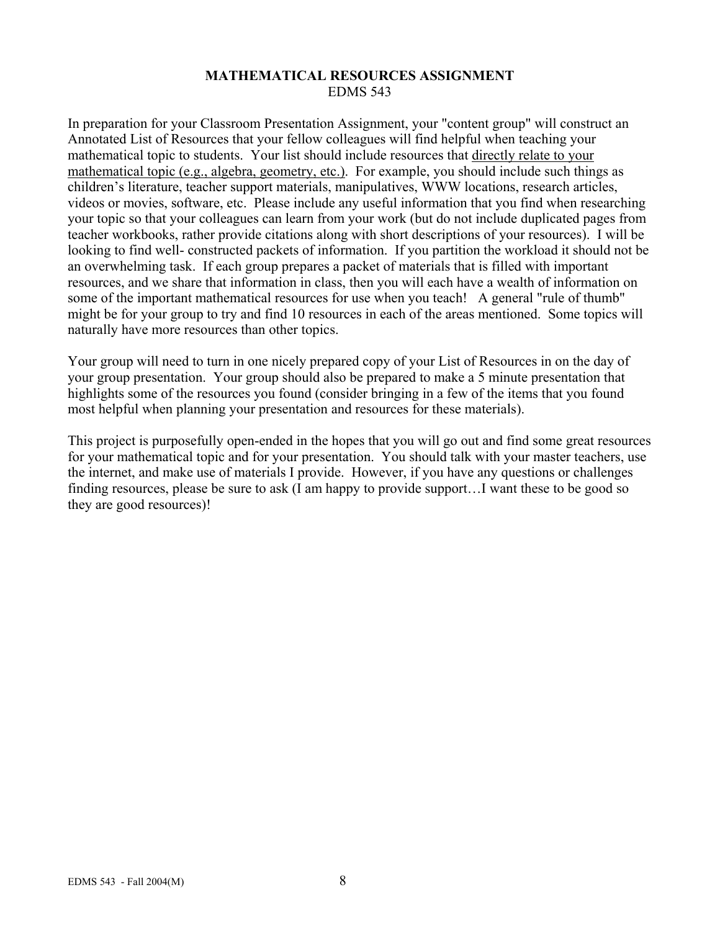#### **MATHEMATICAL RESOURCES ASSIGNMENT**  EDMS 543

In preparation for your Classroom Presentation Assignment, your "content group" will construct an Annotated List of Resources that your fellow colleagues will find helpful when teaching your mathematical topic to students. Your list should include resources that directly relate to your mathematical topic (e.g., algebra, geometry, etc.). For example, you should include such things as children's literature, teacher support materials, manipulatives, WWW locations, research articles, videos or movies, software, etc. Please include any useful information that you find when researching your topic so that your colleagues can learn from your work (but do not include duplicated pages from teacher workbooks, rather provide citations along with short descriptions of your resources). I will be looking to find well- constructed packets of information. If you partition the workload it should not be an overwhelming task. If each group prepares a packet of materials that is filled with important resources, and we share that information in class, then you will each have a wealth of information on some of the important mathematical resources for use when you teach! A general "rule of thumb" might be for your group to try and find 10 resources in each of the areas mentioned. Some topics will naturally have more resources than other topics.

Your group will need to turn in one nicely prepared copy of your List of Resources in on the day of your group presentation. Your group should also be prepared to make a 5 minute presentation that highlights some of the resources you found (consider bringing in a few of the items that you found most helpful when planning your presentation and resources for these materials).

This project is purposefully open-ended in the hopes that you will go out and find some great resources for your mathematical topic and for your presentation. You should talk with your master teachers, use the internet, and make use of materials I provide. However, if you have any questions or challenges finding resources, please be sure to ask (I am happy to provide support…I want these to be good so they are good resources)!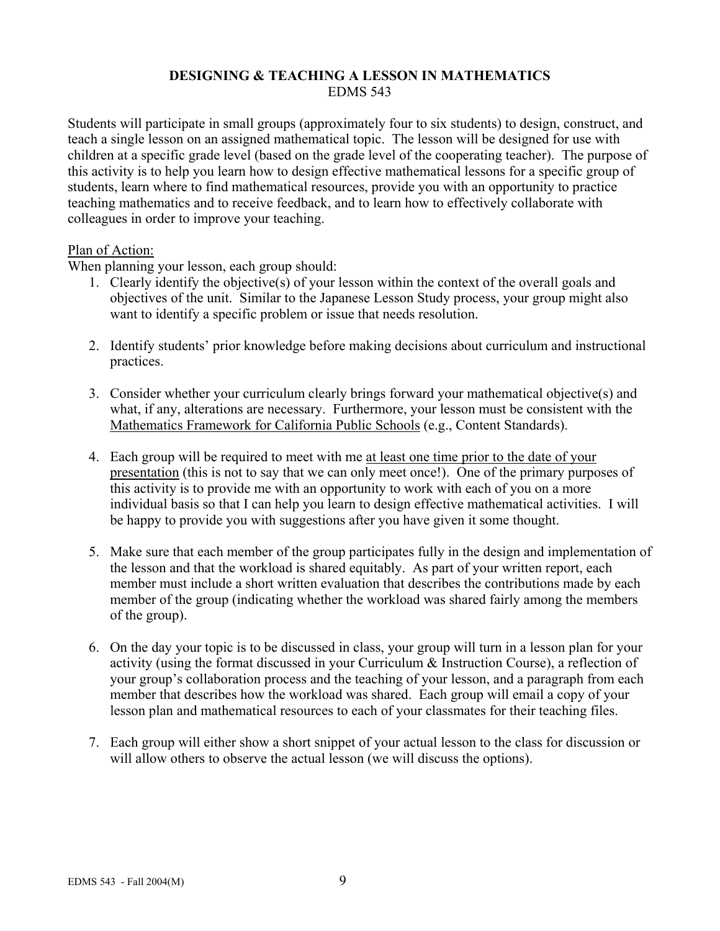## **DESIGNING & TEACHING A LESSON IN MATHEMATICS**  EDMS 543

Students will participate in small groups (approximately four to six students) to design, construct, and teach a single lesson on an assigned mathematical topic. The lesson will be designed for use with children at a specific grade level (based on the grade level of the cooperating teacher). The purpose of this activity is to help you learn how to design effective mathematical lessons for a specific group of students, learn where to find mathematical resources, provide you with an opportunity to practice teaching mathematics and to receive feedback, and to learn how to effectively collaborate with colleagues in order to improve your teaching.

#### Plan of Action:

When planning your lesson, each group should:

- 1. Clearly identify the objective(s) of your lesson within the context of the overall goals and objectives of the unit. Similar to the Japanese Lesson Study process, your group might also want to identify a specific problem or issue that needs resolution.
- 2. Identify students' prior knowledge before making decisions about curriculum and instructional practices.
- 3. Consider whether your curriculum clearly brings forward your mathematical objective(s) and what, if any, alterations are necessary. Furthermore, your lesson must be consistent with the Mathematics Framework for California Public Schools (e.g., Content Standards).
- 4. Each group will be required to meet with me at least one time prior to the date of your presentation (this is not to say that we can only meet once!). One of the primary purposes of this activity is to provide me with an opportunity to work with each of you on a more individual basis so that I can help you learn to design effective mathematical activities. I will be happy to provide you with suggestions after you have given it some thought.
- 5. Make sure that each member of the group participates fully in the design and implementation of the lesson and that the workload is shared equitably. As part of your written report, each member must include a short written evaluation that describes the contributions made by each member of the group (indicating whether the workload was shared fairly among the members of the group).
- 6. On the day your topic is to be discussed in class, your group will turn in a lesson plan for your activity (using the format discussed in your Curriculum & Instruction Course), a reflection of your group's collaboration process and the teaching of your lesson, and a paragraph from each member that describes how the workload was shared. Each group will email a copy of your lesson plan and mathematical resources to each of your classmates for their teaching files.
- 7. Each group will either show a short snippet of your actual lesson to the class for discussion or will allow others to observe the actual lesson (we will discuss the options).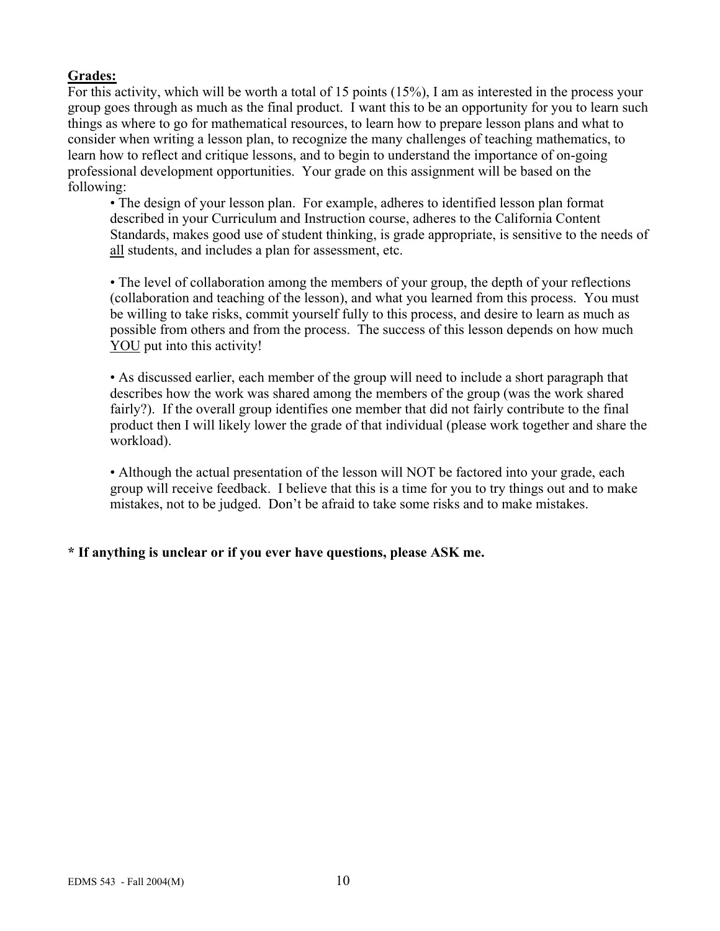## **Grades:**

For this activity, which will be worth a total of 15 points (15%), I am as interested in the process your group goes through as much as the final product. I want this to be an opportunity for you to learn such things as where to go for mathematical resources, to learn how to prepare lesson plans and what to consider when writing a lesson plan, to recognize the many challenges of teaching mathematics, to learn how to reflect and critique lessons, and to begin to understand the importance of on-going professional development opportunities. Your grade on this assignment will be based on the following:

• The design of your lesson plan. For example, adheres to identified lesson plan format described in your Curriculum and Instruction course, adheres to the California Content Standards, makes good use of student thinking, is grade appropriate, is sensitive to the needs of all students, and includes a plan for assessment, etc.

• The level of collaboration among the members of your group, the depth of your reflections (collaboration and teaching of the lesson), and what you learned from this process. You must be willing to take risks, commit yourself fully to this process, and desire to learn as much as possible from others and from the process. The success of this lesson depends on how much YOU put into this activity!

• As discussed earlier, each member of the group will need to include a short paragraph that describes how the work was shared among the members of the group (was the work shared fairly?). If the overall group identifies one member that did not fairly contribute to the final product then I will likely lower the grade of that individual (please work together and share the workload).

• Although the actual presentation of the lesson will NOT be factored into your grade, each group will receive feedback. I believe that this is a time for you to try things out and to make mistakes, not to be judged. Don't be afraid to take some risks and to make mistakes.

## **\* If anything is unclear or if you ever have questions, please ASK me.**